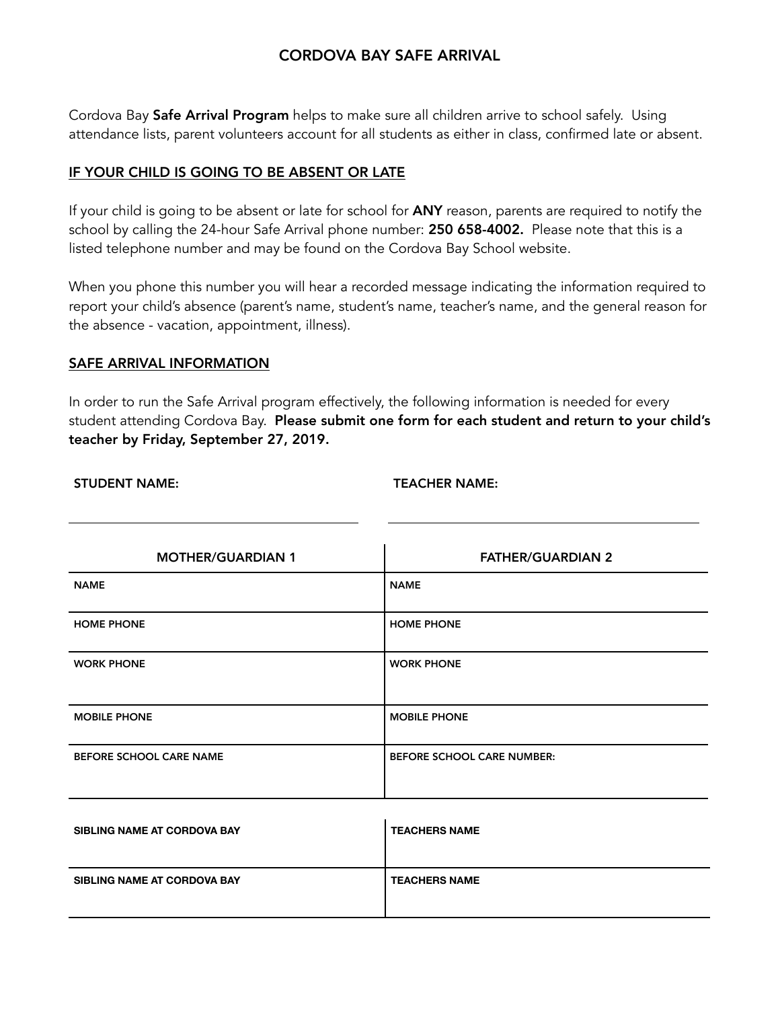# CORDOVA BAY SAFE ARRIVAL

Cordova Bay Safe Arrival Program helps to make sure all children arrive to school safely. Using attendance lists, parent volunteers account for all students as either in class, confirmed late or absent.

## IF YOUR CHILD IS GOING TO BE ABSENT OR LATE

If your child is going to be absent or late for school for ANY reason, parents are required to notify the school by calling the 24-hour Safe Arrival phone number: 250 658-4002. Please note that this is a listed telephone number and may be found on the Cordova Bay School website.

When you phone this number you will hear a recorded message indicating the information required to report your child's absence (parent's name, student's name, teacher's name, and the general reason for the absence - vacation, appointment, illness).

### SAFE ARRIVAL INFORMATION

In order to run the Safe Arrival program effectively, the following information is needed for every student attending Cordova Bay. Please submit one form for each student and return to your child's teacher by Friday, September 27, 2019.

#### STUDENT NAME: TEACHER NAME:

| <b>MOTHER/GUARDIAN 1</b> | <b>FATHER/GUARDIAN 2</b>          |  |
|--------------------------|-----------------------------------|--|
| <b>NAME</b>              | <b>NAME</b>                       |  |
| <b>HOME PHONE</b>        | <b>HOME PHONE</b>                 |  |
| <b>WORK PHONE</b>        | <b>WORK PHONE</b>                 |  |
| <b>MOBILE PHONE</b>      | <b>MOBILE PHONE</b>               |  |
| BEFORE SCHOOL CARE NAME  | <b>BEFORE SCHOOL CARE NUMBER:</b> |  |

| SIBLING NAME AT CORDOVA BAY | <b>TEACHERS NAME</b> |
|-----------------------------|----------------------|
| SIBLING NAME AT CORDOVA BAY | <b>TEACHERS NAME</b> |